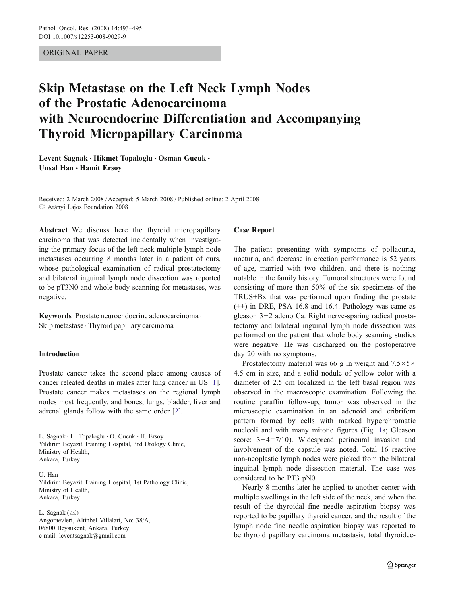## ORIGINAL PAPER

# Skip Metastase on the Left Neck Lymph Nodes of the Prostatic Adenocarcinoma with Neuroendocrine Differentiation and Accompanying Thyroid Micropapillary Carcinoma

Levent Sagnak • Hikmet Topaloglu • Osman Gucuk • Unsal Han · Hamit Ersov

Received: 2 March 2008 /Accepted: 5 March 2008 / Published online: 2 April 2008  $\oslash$  Arányi Lajos Foundation 2008

Abstract We discuss here the thyroid micropapillary carcinoma that was detected incidentally when investigating the primary focus of the left neck multiple lymph node metastases occurring 8 months later in a patient of ours, whose pathological examination of radical prostatectomy and bilateral inguinal lymph node dissection was reported to be pT3N0 and whole body scanning for metastases, was negative.

Keywords Prostate neuroendocrine adenocarcinoma . Skip metastase . Thyroid papillary carcinoma

## Introduction

Prostate cancer takes the second place among causes of cancer releated deaths in males after lung cancer in US [\[1](#page-2-0)]. Prostate cancer makes metastases on the regional lymph nodes most frequently, and bones, lungs, bladder, liver and adrenal glands follow with the same order [[2\]](#page-2-0).

L. Sagnak : H. Topaloglu : O. Gucuk : H. Ersoy Yildirim Beyazit Training Hospital, 3rd Urology Clinic, Ministry of Health, Ankara, Turkey

U. Han Yildirim Beyazit Training Hospital, 1st Pathology Clinic, Ministry of Health, Ankara, Turkey

L. Sagnak  $(\boxtimes)$ Angoraevleri, Altinbel Villalari, No: 38/A, 06800 Beysukent, Ankara, Turkey e-mail: leventsagnak@gmail.com

#### Case Report

The patient presenting with symptoms of pollacuria, nocturia, and decrease in erection performance is 52 years of age, married with two children, and there is nothing notable in the family history. Tumoral structures were found consisting of more than 50% of the six specimens of the TRUS+Bx that was performed upon finding the prostate (++) in DRE, PSA 16.8 and 16.4. Pathology was came as gleason 3+2 adeno Ca. Right nerve-sparing radical prostatectomy and bilateral inguinal lymph node dissection was performed on the patient that whole body scanning studies were negative. He was discharged on the postoperative day 20 with no symptoms.

Prostatectomy material was 66 g in weight and  $7.5 \times 5 \times$ 4.5 cm in size, and a solid nodule of yellow color with a diameter of 2.5 cm localized in the left basal region was observed in the macroscopic examination. Following the routine paraffin follow-up, tumor was observed in the microscopic examination in an adenoid and cribrifom pattern formed by cells with marked hyperchromatic nucleoli and with many mitotic figures (Fig. [1a](#page-1-0); Gleason score: 3+4=7/10). Widespread perineural invasion and involvement of the capsule was noted. Total 16 reactive non-neoplastic lymph nodes were picked from the bilateral inguinal lymph node dissection material. The case was considered to be PT3 pN0.

Nearly 8 months later he applied to another center with multiple swellings in the left side of the neck, and when the result of the thyroidal fine needle aspiration biopsy was reported to be papillary thyroid cancer, and the result of the lymph node fine needle aspiration biopsy was reported to be thyroid papillary carcinoma metastasis, total thyroidec-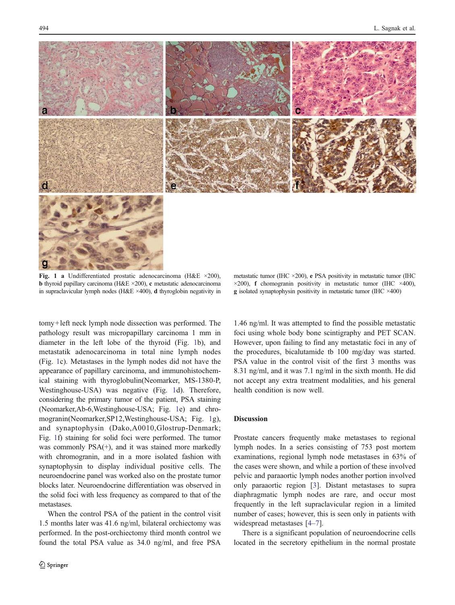<span id="page-1-0"></span>



Fig. 1 a Undifferentiated prostatic adenocarcinoma (H&E  $\times$ 200), b thyroid papillary carcinoma (H&E ×200), c metastatic adenocarcinoma in supraclavicular lymph nodes (H&E ×400), d thyroglobin negativity in

tomy+left neck lymph node dissection was performed. The pathology result was micropapillary carcinoma 1 mm in diameter in the left lobe of the thyroid (Fig. 1b), and metastatik adenocarcinoma in total nine lymph nodes (Fig. 1c). Metastases in the lymph nodes did not have the appearance of papillary carcinoma, and immunohistochemical staining with thyroglobulin(Neomarker, MS-1380-P, Westinghouse-USA) was negative (Fig. 1d). Therefore, considering the primary tumor of the patient, PSA staining (Neomarker,Ab-6,Westinghouse-USA; Fig. 1e) and chromogranin(Neomarker,SP12,Westinghouse-USA; Fig. 1g), and synaptophysin (Dako,A0010,Glostrup-Denmark; Fig. 1f) staining for solid foci were performed. The tumor was commonly PSA(+), and it was stained more markedly with chromogranin, and in a more isolated fashion with synaptophysin to display individual positive cells. The neuroendocrine panel was worked also on the prostate tumor blocks later. Neuroendocrine differentiation was observed in the solid foci with less frequency as compared to that of the metastases.

When the control PSA of the patient in the control visit 1.5 months later was 41.6 ng/ml, bilateral orchiectomy was performed. In the post-orchiectomy third month control we found the total PSA value as 34.0 ng/ml, and free PSA

metastatic tumor (IHC ×200), e PSA positivity in metastatic tumor (IHC  $\times$ 200), **f** chomogranin positivity in metastatic tumor (IHC  $\times$ 400), g isolated synaptophysin positivity in metastatic tumor (IHC ×400)

1.46 ng/ml. It was attempted to find the possible metastatic foci using whole body bone scintigraphy and PET SCAN. However, upon failing to find any metastatic foci in any of the procedures, bicalutamide tb 100 mg/day was started. PSA value in the control visit of the first 3 months was 8.31 ng/ml, and it was 7.1 ng/ml in the sixth month. He did not accept any extra treatment modalities, and his general health condition is now well.

## Discussion

Prostate cancers frequently make metastases to regional lymph nodes. In a series consisting of 753 post mortem examinations, regional lymph node metastases in 63% of the cases were shown, and while a portion of these involved pelvic and paraaortic lymph nodes another portion involved only paraaortic region [[3\]](#page-2-0). Distant metastases to supra diaphragmatic lymph nodes are rare, and occur most frequently in the left supraclavicular region in a limited number of cases; however, this is seen only in patients with widespread metastases [\[4](#page-2-0)–[7](#page-2-0)].

There is a significant population of neuroendocrine cells located in the secretory epithelium in the normal prostate